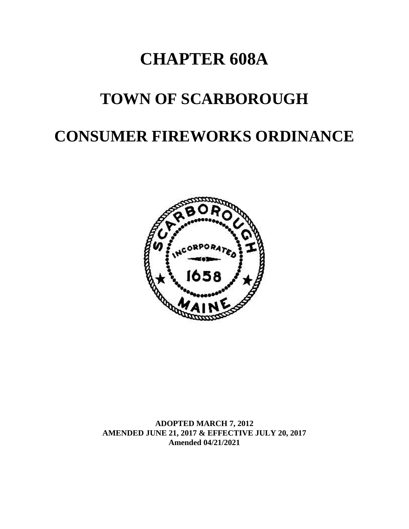# **CHAPTER 608A**

# **TOWN OF SCARBOROUGH**

# **CONSUMER FIREWORKS ORDINANCE**



**ADOPTED MARCH 7, 2012 AMENDED JUNE 21, 2017 & EFFECTIVE JULY 20, 2017 Amended 04/21/2021**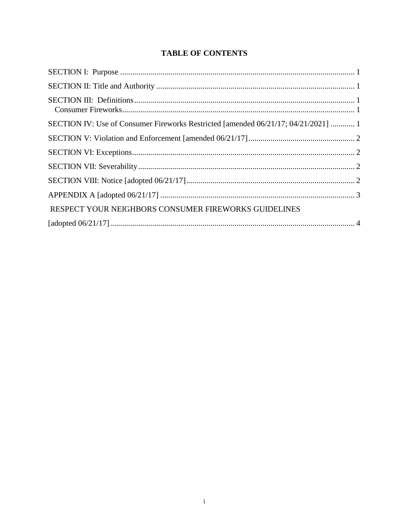# **TABLE OF CONTENTS**

| SECTION IV: Use of Consumer Fireworks Restricted [amended 06/21/17; 04/21/2021]  1 |  |
|------------------------------------------------------------------------------------|--|
|                                                                                    |  |
|                                                                                    |  |
|                                                                                    |  |
|                                                                                    |  |
|                                                                                    |  |
| RESPECT YOUR NEIGHBORS CONSUMER FIREWORKS GUIDELINES                               |  |
|                                                                                    |  |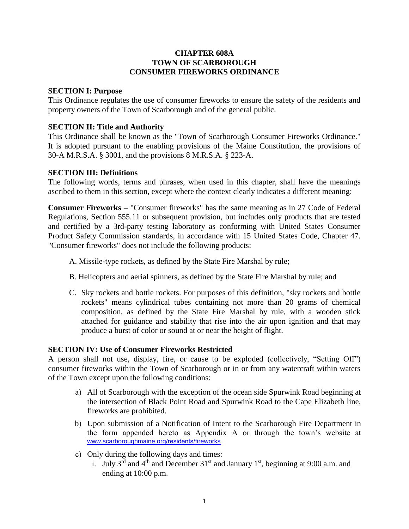### **CHAPTER 608A TOWN OF SCARBOROUGH CONSUMER FIREWORKS ORDINANCE**

#### **SECTION I: Purpose**

This Ordinance regulates the use of consumer fireworks to ensure the safety of the residents and property owners of the Town of Scarborough and of the general public.

### **SECTION II: Title and Authority**

This Ordinance shall be known as the "Town of Scarborough Consumer Fireworks Ordinance." It is adopted pursuant to the enabling provisions of the Maine Constitution, the provisions of 30-A M.R.S.A. § 3001, and the provisions 8 M.R.S.A. § 223-A.

### **SECTION III: Definitions**

The following words, terms and phrases, when used in this chapter, shall have the meanings ascribed to them in this section, except where the context clearly indicates a different meaning:

**Consumer Fireworks –** "Consumer fireworks" has the same meaning as in 27 Code of Federal Regulations, Section 555.11 or subsequent provision, but includes only products that are tested and certified by a 3rd-party testing laboratory as conforming with United States Consumer Product Safety Commission standards, in accordance with 15 United States Code, Chapter 47. "Consumer fireworks" does not include the following products:

A. Missile-type rockets, as defined by the State Fire Marshal by rule;

- B. Helicopters and aerial spinners, as defined by the State Fire Marshal by rule; and
- C. Sky rockets and bottle rockets. For purposes of this definition, "sky rockets and bottle rockets" means cylindrical tubes containing not more than 20 grams of chemical composition, as defined by the State Fire Marshal by rule, with a wooden stick attached for guidance and stability that rise into the air upon ignition and that may produce a burst of color or sound at or near the height of flight.

## **SECTION IV: Use of Consumer Fireworks Restricted**

A person shall not use, display, fire, or cause to be exploded (collectively, "Setting Off") consumer fireworks within the Town of Scarborough or in or from any watercraft within waters of the Town except upon the following conditions:

- a) All of Scarborough with the exception of the ocean side Spurwink Road beginning at the intersection of Black Point Road and Spurwink Road to the Cape Elizabeth line, fireworks are prohibited.
- b) Upon submission of a Notification of Intent to the Scarborough Fire Department in the form appended hereto as Appendix A or through the town's website at [www.scarboroughmaine.org/](https://www.scarboroughmaine.org/residents/fireworks)residents/fireworks
- c) Only during the following days and times:
	- i. July 3<sup>rd</sup> and 4<sup>th</sup> and December 31<sup>st</sup> and January 1<sup>st</sup>, beginning at 9:00 a.m. and ending at 10:00 p.m.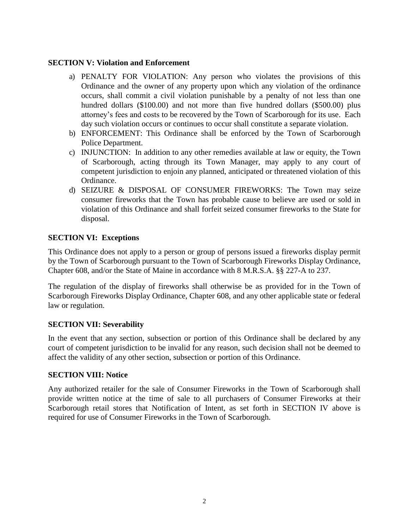### **SECTION V: Violation and Enforcement**

- a) PENALTY FOR VIOLATION: Any person who violates the provisions of this Ordinance and the owner of any property upon which any violation of the ordinance occurs, shall commit a civil violation punishable by a penalty of not less than one hundred dollars (\$100.00) and not more than five hundred dollars (\$500.00) plus attorney's fees and costs to be recovered by the Town of Scarborough for its use. Each day such violation occurs or continues to occur shall constitute a separate violation.
- b) ENFORCEMENT: This Ordinance shall be enforced by the Town of Scarborough Police Department.
- c) INJUNCTION: In addition to any other remedies available at law or equity, the Town of Scarborough, acting through its Town Manager, may apply to any court of competent jurisdiction to enjoin any planned, anticipated or threatened violation of this Ordinance.
- d) SEIZURE & DISPOSAL OF CONSUMER FIREWORKS: The Town may seize consumer fireworks that the Town has probable cause to believe are used or sold in violation of this Ordinance and shall forfeit seized consumer fireworks to the State for disposal.

## **SECTION VI: Exceptions**

This Ordinance does not apply to a person or group of persons issued a fireworks display permit by the Town of Scarborough pursuant to the Town of Scarborough Fireworks Display Ordinance, Chapter 608, and/or the State of Maine in accordance with 8 M.R.S.A. §§ 227-A to 237.

The regulation of the display of fireworks shall otherwise be as provided for in the Town of Scarborough Fireworks Display Ordinance, Chapter 608, and any other applicable state or federal law or regulation.

#### **SECTION VII: Severability**

In the event that any section, subsection or portion of this Ordinance shall be declared by any court of competent jurisdiction to be invalid for any reason, such decision shall not be deemed to affect the validity of any other section, subsection or portion of this Ordinance.

#### **SECTION VIII: Notice**

Any authorized retailer for the sale of Consumer Fireworks in the Town of Scarborough shall provide written notice at the time of sale to all purchasers of Consumer Fireworks at their Scarborough retail stores that Notification of Intent, as set forth in SECTION IV above is required for use of Consumer Fireworks in the Town of Scarborough.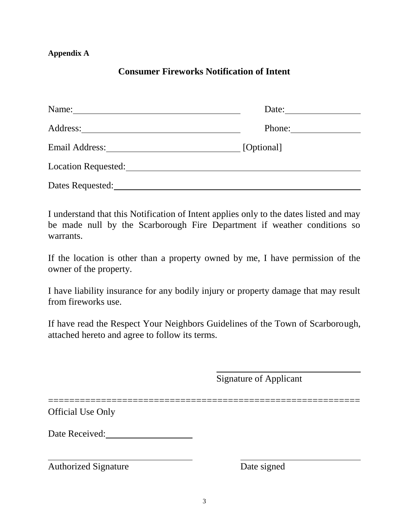## **Appendix A**

# **Consumer Fireworks Notification of Intent**

| Name:                                                                                                                                                                                                                               | Date:      |
|-------------------------------------------------------------------------------------------------------------------------------------------------------------------------------------------------------------------------------------|------------|
|                                                                                                                                                                                                                                     | Phone:     |
| Email Address: No. 1996. The Second Second Second Second Second Second Second Second Second Second Second Second Second Second Second Second Second Second Second Second Second Second Second Second Second Second Second Seco      | [Optional] |
| <b>Location Requested:</b> The contract of the contract of the contract of the contract of the contract of the contract of the contract of the contract of the contract of the contract of the contract of the contract of the cont |            |
| Dates Requested:                                                                                                                                                                                                                    |            |

I understand that this Notification of Intent applies only to the dates listed and may be made null by the Scarborough Fire Department if weather conditions so warrants.

If the location is other than a property owned by me, I have permission of the owner of the property.

I have liability insurance for any bodily injury or property damage that may result from fireworks use.

If have read the Respect Your Neighbors Guidelines of the Town of Scarborough, attached hereto and agree to follow its terms.

Signature of Applicant

===========================================================

Official Use Only

Date Received:

Authorized Signature Date signed